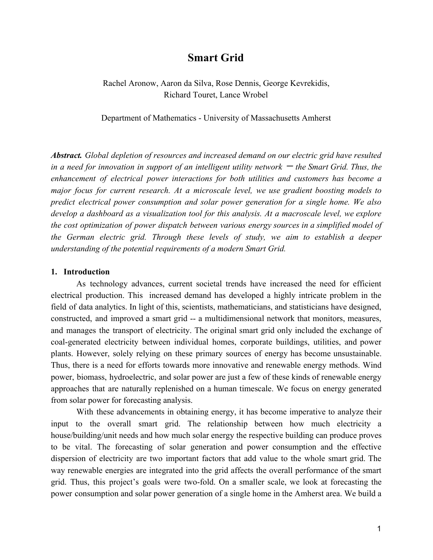# **Smart Grid**

## Rachel Aronow, Aaron da Silva, Rose Dennis, George Kevrekidis, Richard Touret, Lance Wrobel

Department of Mathematics - University of Massachusetts Amherst

*Abstract. Global depletion of resources and increased demand on our electric grid have resulted in a need for innovation in support of an intelligent utility network* <sup>ㄧ</sup> *the Smart Grid. Thus, the enhancement of electrical power interactions for both utilities and customers has become a major focus for current research. At a microscale level, we use gradient boosting models to predict electrical power consumption and solar power generation for a single home. We also develop a dashboard as a visualization tool for this analysis. At a macroscale level, we explore the cost optimization of power dispatch between various energy sources in a simplified model of the German electric grid. Through these levels of study, we aim to establish a deeper understanding of the potential requirements of a modern Smart Grid.*

### **1. Introduction**

As technology advances, current societal trends have increased the need for efficient electrical production. This increased demand has developed a highly intricate problem in the field of data analytics. In light of this, scientists, mathematicians, and statisticians have designed, constructed, and improved a smart grid -- a multidimensional network that monitors, measures, and manages the transport of electricity. The original smart grid only included the exchange of coal-generated electricity between individual homes, corporate buildings, utilities, and power plants. However, solely relying on these primary sources of energy has become unsustainable. Thus, there is a need for efforts towards more innovative and renewable energy methods. Wind power, biomass, hydroelectric, and solar power are just a few of these kinds of renewable energy approaches that are naturally replenished on a human timescale. We focus on energy generated from solar power for forecasting analysis.

With these advancements in obtaining energy, it has become imperative to analyze their input to the overall smart grid. The relationship between how much electricity a house/building/unit needs and how much solar energy the respective building can produce proves to be vital. The forecasting of solar generation and power consumption and the effective dispersion of electricity are two important factors that add value to the whole smart grid. The way renewable energies are integrated into the grid affects the overall performance of the smart grid. Thus, this project's goals were two-fold. On a smaller scale, we look at forecasting the power consumption and solar power generation of a single home in the Amherst area. We build a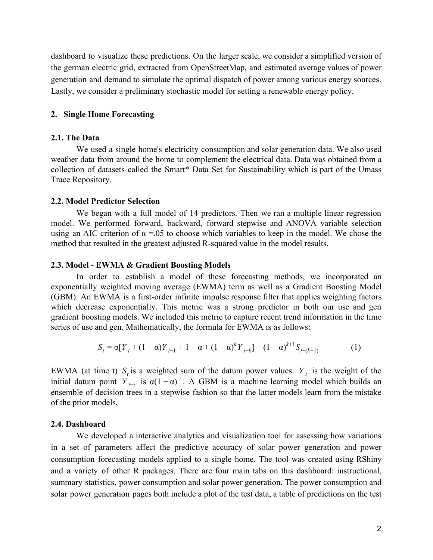dashboard to visualize these predictions. On the larger scale, we consider a simplified version of the german electric grid, extracted from OpenStreetMap, and estimated average values of power generation and demand to simulate the optimal dispatch of power among various energy sources. Lastly, we consider a preliminary stochastic model for setting a renewable energy policy.

#### **2. Single Home Forecasting**

#### **2.1. The Data**

We used a single home's electricity consumption and solar generation data. We also used weather data from around the home to complement the electrical data. Data was obtained from a collection of datasets called the Smart\* Data Set for Sustainability which is part of the Umass Trace Repository.

#### **2.2. Model Predictor Selection**

We began with a full model of 14 predictors. Then we ran a multiple linear regression model. We performed forward, backward, forward stepwise and ANOVA variable selection using an AIC criterion of  $\alpha = 0.05$  to choose which variables to keep in the model. We chose the method that resulted in the greatest adjusted R-squared value in the model results.

#### **2.3. Model - EWMA & Gradient Boosting Models**

In order to establish a model of these forecasting methods, we incorporated an exponentially weighted moving average (EWMA) term as well as a Gradient Boosting Model (GBM). An EWMA is a first-order infinite impulse response filter that applies weighting factors which decrease exponentially. This metric was a strong predictor in both our use and gen gradient boosting models. We included this metric to capture recent trend information in the time series of use and gen. Mathematically, the formula for EWMA is as follows:

$$
S_t = \alpha [Y_t + (1 - \alpha)Y_{t-1} + 1 - \alpha + (1 - \alpha)^k Y_{t-k}] + (1 - \alpha)^{k+1} S_{t-(k+1)}
$$
(1)

EWMA (at time t)  $S_t$  is a weighted sum of the datum power values.  $Y_t$  is the weight of the initial datum point  $Y_{t-i}$  is  $\alpha(1-\alpha)^i$ . A GBM is a machine learning model which builds an ensemble of decision trees in a stepwise fashion so that the latter models learn from the mistake of the prior models.

#### **2.4. Dashboard**

We developed a interactive analytics and visualization tool for assessing how variations in a set of parameters affect the predictive accuracy of solar power generation and power consumption forecasting models applied to a single home. The tool was created using RShiny and a variety of other R packages. There are four main tabs on this dashboard: instructional, summary statistics, power consumption and solar power generation. The power consumption and solar power generation pages both include a plot of the test data, a table of predictions on the test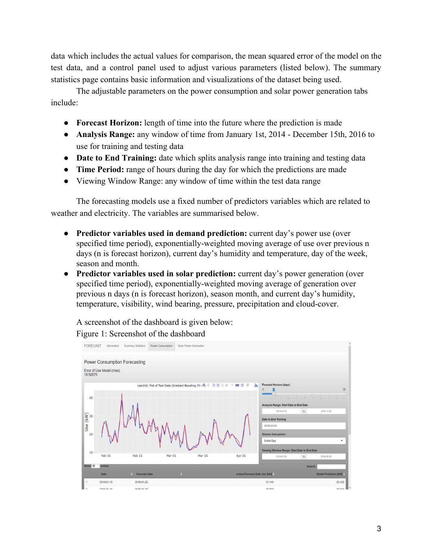data which includes the actual values for comparison, the mean squared error of the model on the test data, and a control panel used to adjust various parameters (listed below). The summary statistics page contains basic information and visualizations of the dataset being used.

The adjustable parameters on the power consumption and solar power generation tabs include:

- **● Forecast Horizon:** length of time into the future where the prediction is made
- **● Analysis Range:** any window of time from January 1st, 2014 December 15th, 2016 to use for training and testing data
- **● Date to End Training:** date which splits analysis range into training and testing data
- **● Time Period:** range of hours during the day for which the predictions are made
- **●** Viewing Window Range: any window of time within the test data range

The forecasting models use a fixed number of predictors variables which are related to weather and electricity. The variables are summarised below.

- **● Predictor variables used in demand prediction:** current day's power use (over specified time period), exponentially-weighted moving average of use over previous n days (n is forecast horizon), current day's humidity and temperature, day of the week, season and month.
- **Predictor variables used in solar prediction:** current day's power generation (over specified time period), exponentially-weighted moving average of generation over previous n days (n is forecast horizon), season month, and current day's humidity, temperature, visibility, wind bearing, pressure, precipitation and cloud-cover.

A screenshot of the dashboard is given below: Figure 1: Screenshot of the dashboard

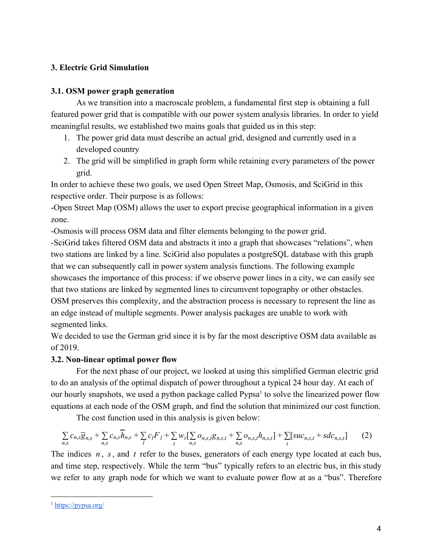## **3. Electric Grid Simulation**

### **3.1. OSM power graph generation**

As we transition into a macroscale problem, a fundamental first step is obtaining a full featured power grid that is compatible with our power system analysis libraries. In order to yield meaningful results, we established two mains goals that guided us in this step:

- 1. The power grid data must describe an actual grid, designed and currently used in a developed country
- 2. The grid will be simplified in graph form while retaining every parameters of the power grid.

In order to achieve these two goals, we used Open Street Map, Osmosis, and SciGrid in this respective order. Their purpose is as follows:

-Open Street Map (OSM) allows the user to export precise geographical information in a given zone.

-Osmosis will process OSM data and filter elements belonging to the power grid.

-SciGrid takes filtered OSM data and abstracts it into a graph that showcases "relations", when two stations are linked by a line. SciGrid also populates a postgreSQL database with this graph that we can subsequently call in power system analysis functions. The following example showcases the importance of this process: if we observe power lines in a city, we can easily see that two stations are linked by segmented lines to circumvent topography or other obstacles. OSM preserves this complexity, and the abstraction process is necessary to represent the line as an edge instead of multiple segments. Power analysis packages are unable to work with segmented links.

We decided to use the German grid since it is by far the most descriptive OSM data available as of 2019.

## **3.2. Non-linear optimal power flow**

For the next phase of our project, we looked at using this simplified German electric grid to do an analysis of the optimal dispatch of power throughout a typical 24 hour day. At each of our hourly snapshots, we used a python package called Pypsa<sup>1</sup> to solve the linearized power flow equations at each node of the OSM graph, and find the solution that minimized our cost function.

The cost function used in this analysis is given below:

$$
\sum_{n,s} c_{n,s} \overline{g}_{n,s} + \sum_{n,s} c_{n,s} \overline{h}_{n,s} + \sum_l c_l F_l + \sum_l w_l [\sum_{n,s} o_{n,s,t} g_{n,s,t} + \sum_{n,s} o_{n,s,t} h_{n,s,t}] + \sum_l [suc_{n,s,t} + sdc_{n,s,t}] \tag{2}
$$

The indices *n* , *s*, and *t* refer to the buses, generators of each energy type located at each bus, and time step, respectively. While the term "bus" typically refers to an electric bus, in this study we refer to any graph node for which we want to evaluate power flow at as a "bus". Therefore

<sup>1</sup> <https://pypsa.org/>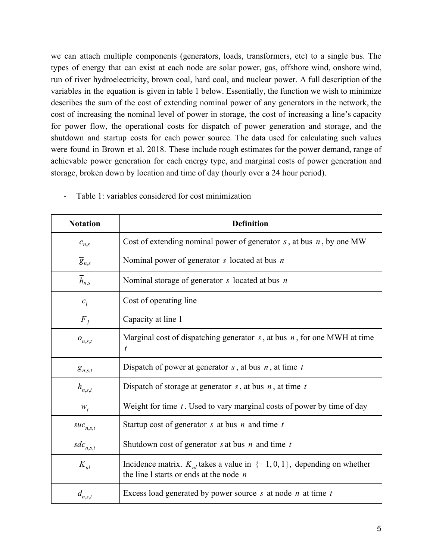we can attach multiple components (generators, loads, transformers, etc) to a single bus. The types of energy that can exist at each node are solar power, gas, offshore wind, onshore wind, run of river hydroelectricity, brown coal, hard coal, and nuclear power. A full description of the variables in the equation is given in table 1 below. Essentially, the function we wish to minimize describes the sum of the cost of extending nominal power of any generators in the network, the cost of increasing the nominal level of power in storage, the cost of increasing a line's capacity for power flow, the operational costs for dispatch of power generation and storage, and the shutdown and startup costs for each power source. The data used for calculating such values were found in Brown et al. 2018. These include rough estimates for the power demand, range of achievable power generation for each energy type, and marginal costs of power generation and storage, broken down by location and time of day (hourly over a 24 hour period).

| <b>Notation</b>        | <b>Definition</b>                                                                                                              |
|------------------------|--------------------------------------------------------------------------------------------------------------------------------|
| $c_{n,s}$              | Cost of extending nominal power of generator $s$ , at bus $n$ , by one MW                                                      |
| $\overline{g}_{n,s}$   | Nominal power of generator $s$ located at bus $n$                                                                              |
| $h_{n,s}$              | Nominal storage of generator $s$ located at bus $n$                                                                            |
| $c_l$                  | Cost of operating line                                                                                                         |
| F <sub>I</sub>         | Capacity at line 1                                                                                                             |
| $o_{n,s,t}$            | Marginal cost of dispatching generator $s$ , at bus $n$ , for one MWH at time<br>$\boldsymbol{t}$                              |
| $g_{n,s,t}$            | Dispatch of power at generator $s$ , at bus $n$ , at time $t$                                                                  |
| $h_{n,s,t}$            | Dispatch of storage at generator $s$ , at bus $n$ , at time $t$                                                                |
| $W_t$                  | Weight for time $t$ . Used to vary marginal costs of power by time of day                                                      |
| $\mathit{suc}_{n,s,t}$ | Startup cost of generator $s$ at bus $n$ and time $t$                                                                          |
| $sdc_{n,s,t}$          | Shutdown cost of generator s at bus $n$ and time $t$                                                                           |
| $K_{nl}$               | Incidence matrix. $K_{nl}$ takes a value in $\{-1, 0, 1\}$ , depending on whether<br>the line 1 starts or ends at the node $n$ |
| $d_{n,s,t}$            | Excess load generated by power source $s$ at node $n$ at time $t$                                                              |

- Table 1: variables considered for cost minimization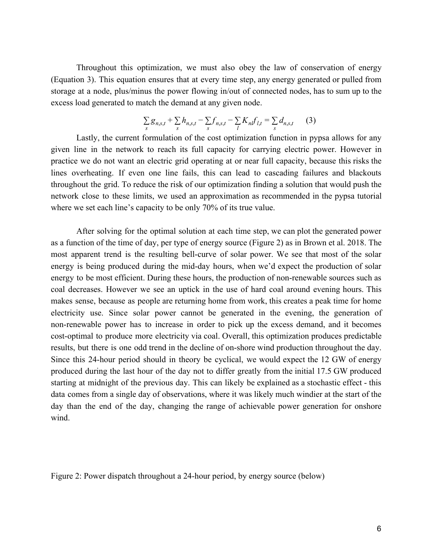Throughout this optimization, we must also obey the law of conservation of energy (Equation 3). This equation ensures that at every time step, any energy generated or pulled from storage at a node, plus/minus the power flowing in/out of connected nodes, has to sum up to the excess load generated to match the demand at any given node.

$$
\sum_{s} g_{n,s,t} + \sum_{s} h_{n,s,t} - \sum_{s} f_{n,s,t} - \sum_{l} K_{nl} f_{l,t} = \sum_{s} d_{n,s,t}
$$
 (3)

Lastly, the current formulation of the cost optimization function in pypsa allows for any given line in the network to reach its full capacity for carrying electric power. However in practice we do not want an electric grid operating at or near full capacity, because this risks the lines overheating. If even one line fails, this can lead to cascading failures and blackouts throughout the grid. To reduce the risk of our optimization finding a solution that would push the network close to these limits, we used an approximation as recommended in the pypsa tutorial where we set each line's capacity to be only 70% of its true value.

After solving for the optimal solution at each time step, we can plot the generated power as a function of the time of day, per type of energy source (Figure 2) as in Brown et al. 2018. The most apparent trend is the resulting bell-curve of solar power. We see that most of the solar energy is being produced during the mid-day hours, when we'd expect the production of solar energy to be most efficient. During these hours, the production of non-renewable sources such as coal decreases. However we see an uptick in the use of hard coal around evening hours. This makes sense, because as people are returning home from work, this creates a peak time for home electricity use. Since solar power cannot be generated in the evening, the generation of non-renewable power has to increase in order to pick up the excess demand, and it becomes cost-optimal to produce more electricity via coal. Overall, this optimization produces predictable results, but there is one odd trend in the decline of on-shore wind production throughout the day. Since this 24-hour period should in theory be cyclical, we would expect the 12 GW of energy produced during the last hour of the day not to differ greatly from the initial 17.5 GW produced starting at midnight of the previous day. This can likely be explained as a stochastic effect - this data comes from a single day of observations, where it was likely much windier at the start of the day than the end of the day, changing the range of achievable power generation for onshore wind.

Figure 2: Power dispatch throughout a 24-hour period, by energy source (below)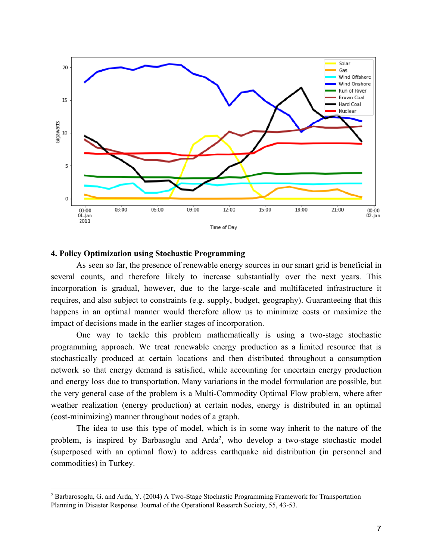

#### **4. Policy Optimization using Stochastic Programming**

As seen so far, the presence of renewable energy sources in our smart grid is beneficial in several counts, and therefore likely to increase substantially over the next years. This incorporation is gradual, however, due to the large-scale and multifaceted infrastructure it requires, and also subject to constraints (e.g. supply, budget, geography). Guaranteeing that this happens in an optimal manner would therefore allow us to minimize costs or maximize the impact of decisions made in the earlier stages of incorporation.

One way to tackle this problem mathematically is using a two-stage stochastic programming approach. We treat renewable energy production as a limited resource that is stochastically produced at certain locations and then distributed throughout a consumption network so that energy demand is satisfied, while accounting for uncertain energy production and energy loss due to transportation. Many variations in the model formulation are possible, but the very general case of the problem is a Multi-Commodity Optimal Flow problem, where after weather realization (energy production) at certain nodes, energy is distributed in an optimal (cost-minimizing) manner throughout nodes of a graph.

The idea to use this type of model, which is in some way inherit to the nature of the problem, is inspired by Barbasoglu and Arda<sup>2</sup>, who develop a two-stage stochastic model (superposed with an optimal flow) to address earthquake aid distribution (in personnel and commodities) in Turkey.

<sup>2</sup> Barbarosoglu, G. and Arda, Y. (2004) A Two-Stage Stochastic Programming Framework for Transportation Planning in Disaster Response. Journal of the Operational Research Society, 55, 43-53.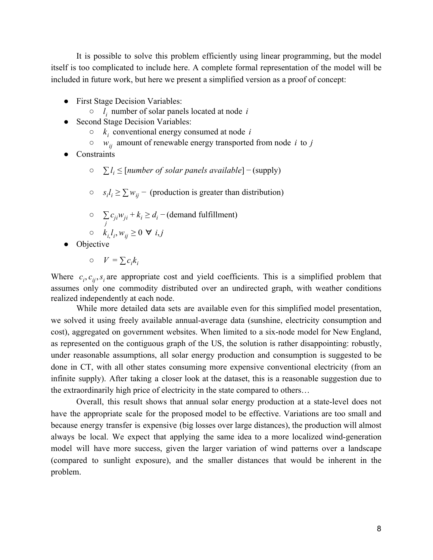It is possible to solve this problem efficiently using linear programming, but the model itself is too complicated to include here. A complete formal representation of the model will be included in future work, but here we present a simplified version as a proof of concept:

- First Stage Decision Variables:
	- $\circ$  *l<sub>i</sub>* number of solar panels located at node *i*
- Second Stage Decision Variables:
	- $\circ$   $k_i$  conventional energy consumed at node *i*
	- $\circ$  *w*<sub>*ij*</sub> amount of renewable energy transported from node *i* to *j*
- Constraints
	- $\sum l_i$  ≤ [*number of solar panels available*] (supply)

$$
\circ \quad s_i l_i \geq \sum w_{ij} \quad \text{(production is greater than distribution)}
$$

$$
\circ \sum_j c_{ji} w_{ji} + k_i \ge d_i - (\text{demand fullfillment})
$$

$$
\circ \quad k_{i, l_i, w_{ij} \ge 0 \ \forall \ i, j
$$

- Objective
	- $V = \sum c_i k_i$

Where  $c_i, c_j, s_i$  are appropriate cost and yield coefficients. This is a simplified problem that assumes only one commodity distributed over an undirected graph, with weather conditions realized independently at each node.

While more detailed data sets are available even for this simplified model presentation, we solved it using freely available annual-average data (sunshine, electricity consumption and cost), aggregated on government websites. When limited to a six-node model for New England, as represented on the contiguous graph of the US, the solution is rather disappointing: robustly, under reasonable assumptions, all solar energy production and consumption is suggested to be done in CT, with all other states consuming more expensive conventional electricity (from an infinite supply). After taking a closer look at the dataset, this is a reasonable suggestion due to the extraordinarily high price of electricity in the state compared to others…

Overall, this result shows that annual solar energy production at a state-level does not have the appropriate scale for the proposed model to be effective. Variations are too small and because energy transfer is expensive (big losses over large distances), the production will almost always be local. We expect that applying the same idea to a more localized wind-generation model will have more success, given the larger variation of wind patterns over a landscape (compared to sunlight exposure), and the smaller distances that would be inherent in the problem.